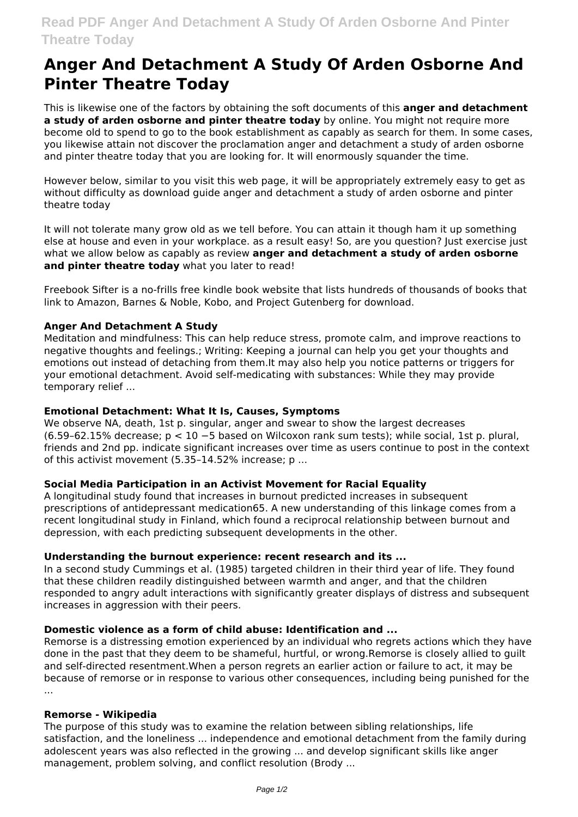# **Anger And Detachment A Study Of Arden Osborne And Pinter Theatre Today**

This is likewise one of the factors by obtaining the soft documents of this **anger and detachment a study of arden osborne and pinter theatre today** by online. You might not require more become old to spend to go to the book establishment as capably as search for them. In some cases, you likewise attain not discover the proclamation anger and detachment a study of arden osborne and pinter theatre today that you are looking for. It will enormously squander the time.

However below, similar to you visit this web page, it will be appropriately extremely easy to get as without difficulty as download guide anger and detachment a study of arden osborne and pinter theatre today

It will not tolerate many grow old as we tell before. You can attain it though ham it up something else at house and even in your workplace. as a result easy! So, are you question? Just exercise just what we allow below as capably as review **anger and detachment a study of arden osborne and pinter theatre today** what you later to read!

Freebook Sifter is a no-frills free kindle book website that lists hundreds of thousands of books that link to Amazon, Barnes & Noble, Kobo, and Project Gutenberg for download.

### **Anger And Detachment A Study**

Meditation and mindfulness: This can help reduce stress, promote calm, and improve reactions to negative thoughts and feelings.; Writing: Keeping a journal can help you get your thoughts and emotions out instead of detaching from them.It may also help you notice patterns or triggers for your emotional detachment. Avoid self-medicating with substances: While they may provide temporary relief ...

# **Emotional Detachment: What It Is, Causes, Symptoms**

We observe NA, death, 1st p. singular, anger and swear to show the largest decreases (6.59–62.15% decrease; p < 10 −5 based on Wilcoxon rank sum tests); while social, 1st p. plural, friends and 2nd pp. indicate significant increases over time as users continue to post in the context of this activist movement (5.35–14.52% increase; p ...

# **Social Media Participation in an Activist Movement for Racial Equality**

A longitudinal study found that increases in burnout predicted increases in subsequent prescriptions of antidepressant medication65. A new understanding of this linkage comes from a recent longitudinal study in Finland, which found a reciprocal relationship between burnout and depression, with each predicting subsequent developments in the other.

#### **Understanding the burnout experience: recent research and its ...**

In a second study Cummings et al. (1985) targeted children in their third year of life. They found that these children readily distinguished between warmth and anger, and that the children responded to angry adult interactions with significantly greater displays of distress and subsequent increases in aggression with their peers.

#### **Domestic violence as a form of child abuse: Identification and ...**

Remorse is a distressing emotion experienced by an individual who regrets actions which they have done in the past that they deem to be shameful, hurtful, or wrong.Remorse is closely allied to guilt and self-directed resentment.When a person regrets an earlier action or failure to act, it may be because of remorse or in response to various other consequences, including being punished for the ...

#### **Remorse - Wikipedia**

The purpose of this study was to examine the relation between sibling relationships, life satisfaction, and the loneliness ... independence and emotional detachment from the family during adolescent years was also reflected in the growing ... and develop significant skills like anger management, problem solving, and conflict resolution (Brody ...